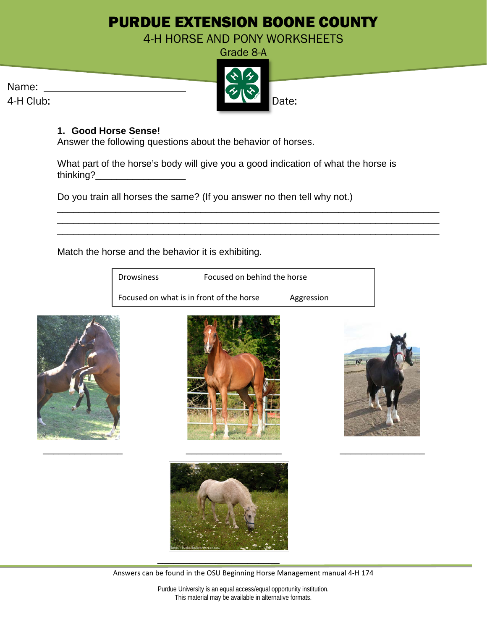## PURDUE EXTENSION BOONE COUNTY

4-H HORSE AND PONY WORKSHEETS

|           | <b>ALL</b>                  |       |
|-----------|-----------------------------|-------|
| Name:     | $\mathcal{L}_{\mathcal{U}}$ |       |
| 4-H Club: |                             | Date: |



\_\_\_\_\_\_\_\_\_\_\_\_\_\_\_\_\_\_\_\_\_\_\_\_\_\_\_\_\_\_\_\_\_\_\_\_\_\_\_\_\_\_\_\_\_\_\_\_\_\_\_\_\_\_\_\_\_\_\_\_\_\_\_\_\_\_\_\_\_\_\_\_ \_\_\_\_\_\_\_\_\_\_\_\_\_\_\_\_\_\_\_\_\_\_\_\_\_\_\_\_\_\_\_\_\_\_\_\_\_\_\_\_\_\_\_\_\_\_\_\_\_\_\_\_\_\_\_\_\_\_\_\_\_\_\_\_\_\_\_\_\_\_\_\_ \_\_\_\_\_\_\_\_\_\_\_\_\_\_\_\_\_\_\_\_\_\_\_\_\_\_\_\_\_\_\_\_\_\_\_\_\_\_\_\_\_\_\_\_\_\_\_\_\_\_\_\_\_\_\_\_\_\_\_\_\_\_\_\_\_\_\_\_\_\_\_\_

## **1. Good Horse Sense!**

Answer the following questions about the behavior of horses.

What part of the horse's body will give you a good indication of what the horse is thinking?\_\_\_\_\_\_\_\_\_\_\_\_\_\_\_\_\_

Do you train all horses the same? (If you answer no then tell why not.)

Match the horse and the behavior it is exhibiting.

| Drowsiness | Focused on behind the horse              |            |  |
|------------|------------------------------------------|------------|--|
|            | Focused on what is in front of the horse | Aggression |  |
|            |                                          |            |  |
|            |                                          |            |  |



\_\_\_\_\_\_\_\_\_\_\_\_\_\_\_\_\_\_\_\_\_\_\_